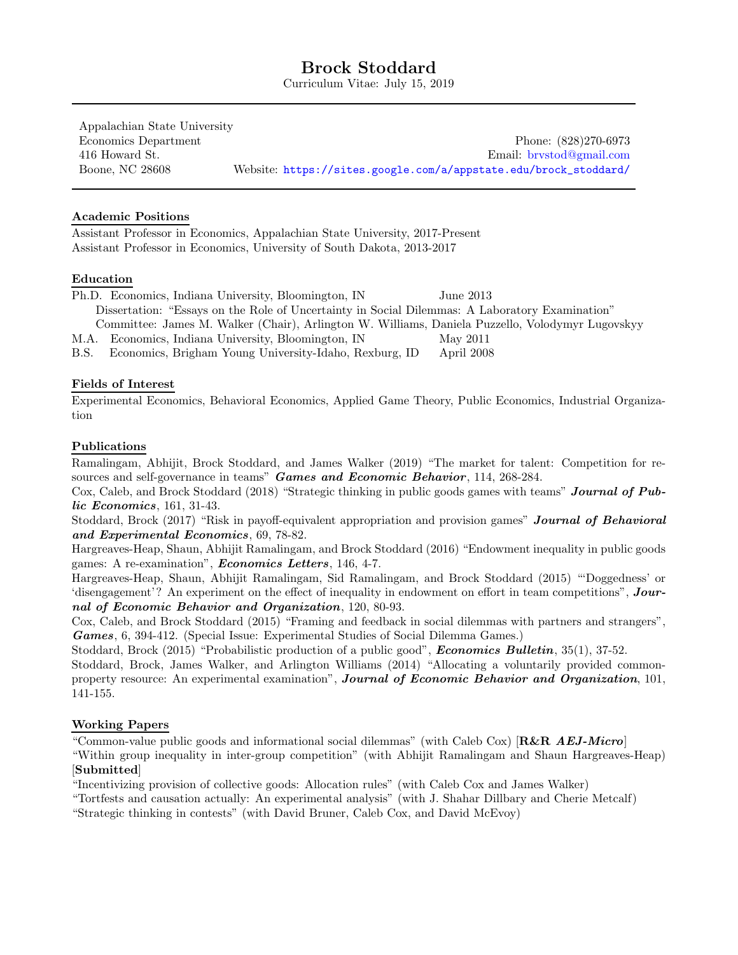# Brock Stoddard

Curriculum Vitae: July 15, 2019

Appalachian State University Economics Department Phone: (828)270-6973 416 Howard St. Email: [brvstod@gmail.com](mailto:brvstod@gmail.com) Boone, NC 28608 Website: [https://sites.google.com/a/appstate.edu/brock\\_stoddard/](https://sites.google.com/a/appstate.edu/brock_stoddard/)

### Academic Positions

Assistant Professor in Economics, Appalachian State University, 2017-Present Assistant Professor in Economics, University of South Dakota, 2013-2017

### Education

Ph.D. Economics, Indiana University, Bloomington, IN June 2013 Dissertation: "Essays on the Role of Uncertainty in Social Dilemmas: A Laboratory Examination" Committee: James M. Walker (Chair), Arlington W. Williams, Daniela Puzzello, Volodymyr Lugovskyy M.A. Economics, Indiana University, Bloomington, IN May 2011

B.S. Economics, Brigham Young University-Idaho, Rexburg, ID April 2008

### Fields of Interest

Experimental Economics, Behavioral Economics, Applied Game Theory, Public Economics, Industrial Organization

### Publications

Ramalingam, Abhijit, Brock Stoddard, and James Walker (2019) "The market for talent: Competition for resources and self-governance in teams" Games and Economic Behavior, 114, 268-284.

Cox, Caleb, and Brock Stoddard (2018) "Strategic thinking in public goods games with teams" Journal of Public Economics, 161, 31-43.

Stoddard, Brock (2017) "Risk in payoff-equivalent appropriation and provision games" **Journal of Behavioral** and Experimental Economics, 69, 78-82.

Hargreaves-Heap, Shaun, Abhijit Ramalingam, and Brock Stoddard (2016) "Endowment inequality in public goods games: A re-examination", *Economics Letters*, 146, 4-7.

Hargreaves-Heap, Shaun, Abhijit Ramalingam, Sid Ramalingam, and Brock Stoddard (2015) "'Doggedness' or 'disengagement'? An experiment on the effect of inequality in endowment on effort in team competitions", Journal of Economic Behavior and Organization, 120, 80-93.

Cox, Caleb, and Brock Stoddard (2015) "Framing and feedback in social dilemmas with partners and strangers", Games, 6, 394-412. (Special Issue: Experimental Studies of Social Dilemma Games.)

Stoddard, Brock (2015) "Probabilistic production of a public good", *Economics Bulletin*, 35(1), 37-52. Stoddard, Brock, James Walker, and Arlington Williams (2014) "Allocating a voluntarily provided commonproperty resource: An experimental examination", Journal of Economic Behavior and Organization, 101,

141-155.

## Working Papers

"Common-value public goods and informational social dilemmas" (with Caleb Cox) [R&R AEJ-Micro]

"Within group inequality in inter-group competition" (with Abhijit Ramalingam and Shaun Hargreaves-Heap) [Submitted]

"Incentivizing provision of collective goods: Allocation rules" (with Caleb Cox and James Walker)

"Tortfests and causation actually: An experimental analysis" (with J. Shahar Dillbary and Cherie Metcalf)

"Strategic thinking in contests" (with David Bruner, Caleb Cox, and David McEvoy)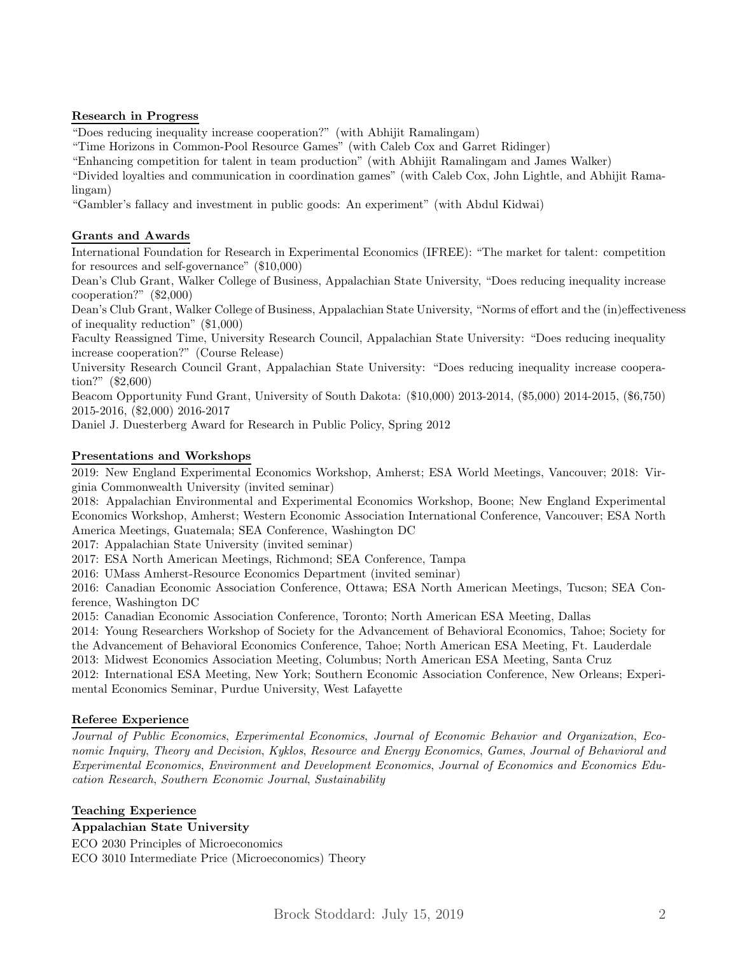# Research in Progress

"Does reducing inequality increase cooperation?" (with Abhijit Ramalingam)

"Time Horizons in Common-Pool Resource Games" (with Caleb Cox and Garret Ridinger)

"Enhancing competition for talent in team production" (with Abhijit Ramalingam and James Walker)

"Divided loyalties and communication in coordination games" (with Caleb Cox, John Lightle, and Abhijit Ramalingam)

"Gambler's fallacy and investment in public goods: An experiment" (with Abdul Kidwai)

# Grants and Awards

International Foundation for Research in Experimental Economics (IFREE): "The market for talent: competition for resources and self-governance" (\$10,000)

Dean's Club Grant, Walker College of Business, Appalachian State University, "Does reducing inequality increase cooperation?" (\$2,000)

Dean's Club Grant, Walker College of Business, Appalachian State University, "Norms of effort and the (in)effectiveness of inequality reduction" (\$1,000)

Faculty Reassigned Time, University Research Council, Appalachian State University: "Does reducing inequality increase cooperation?" (Course Release)

University Research Council Grant, Appalachian State University: "Does reducing inequality increase cooperation?" (\$2,600)

Beacom Opportunity Fund Grant, University of South Dakota: (\$10,000) 2013-2014, (\$5,000) 2014-2015, (\$6,750) 2015-2016, (\$2,000) 2016-2017

Daniel J. Duesterberg Award for Research in Public Policy, Spring 2012

# Presentations and Workshops

2019: New England Experimental Economics Workshop, Amherst; ESA World Meetings, Vancouver; 2018: Virginia Commonwealth University (invited seminar)

2018: Appalachian Environmental and Experimental Economics Workshop, Boone; New England Experimental Economics Workshop, Amherst; Western Economic Association International Conference, Vancouver; ESA North America Meetings, Guatemala; SEA Conference, Washington DC

2017: Appalachian State University (invited seminar)

2017: ESA North American Meetings, Richmond; SEA Conference, Tampa

2016: UMass Amherst-Resource Economics Department (invited seminar)

2016: Canadian Economic Association Conference, Ottawa; ESA North American Meetings, Tucson; SEA Conference, Washington DC

2015: Canadian Economic Association Conference, Toronto; North American ESA Meeting, Dallas

2014: Young Researchers Workshop of Society for the Advancement of Behavioral Economics, Tahoe; Society for the Advancement of Behavioral Economics Conference, Tahoe; North American ESA Meeting, Ft. Lauderdale

2013: Midwest Economics Association Meeting, Columbus; North American ESA Meeting, Santa Cruz

2012: International ESA Meeting, New York; Southern Economic Association Conference, New Orleans; Experimental Economics Seminar, Purdue University, West Lafayette

## Referee Experience

Journal of Public Economics, Experimental Economics, Journal of Economic Behavior and Organization, Economic Inquiry, Theory and Decision, Kyklos, Resource and Energy Economics, Games, Journal of Behavioral and Experimental Economics, Environment and Development Economics, Journal of Economics and Economics Education Research, Southern Economic Journal, Sustainability

## Teaching Experience

## Appalachian State University

ECO 2030 Principles of Microeconomics ECO 3010 Intermediate Price (Microeconomics) Theory